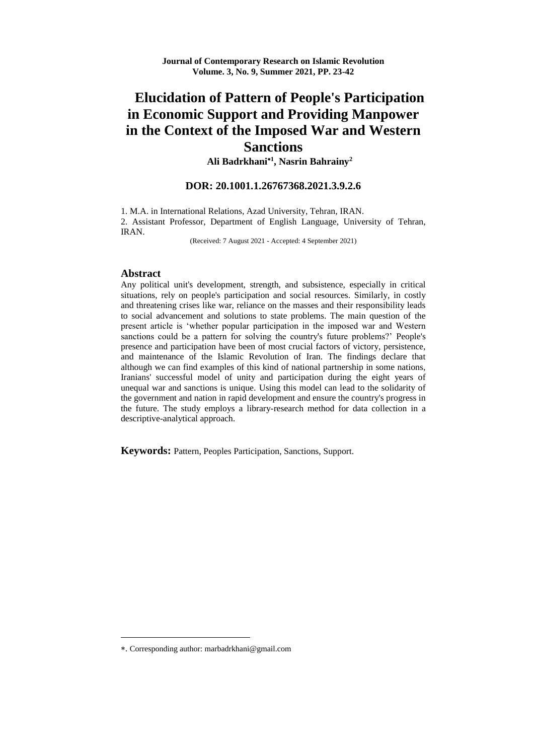**Ali Badrkhani<sup>1</sup> , Nasrin Bahrainy<sup>2</sup>**

#### **DOR: 20.1001.1.26767368.2021.3.9.2.6**

1. M.A. in International Relations, Azad University, Tehran, IRAN. 2. Assistant Professor, Department of English Language, University of Tehran, IRAN.

(Received: 7 August 2021 - Accepted: 4 September 2021)

#### **Abstract**

Any political unit's development, strength, and subsistence, especially in critical situations, rely on people's participation and social resources. Similarly, in costly and threatening crises like war, reliance on the masses and their responsibility leads to social advancement and solutions to state problems. The main question of the present article is 'whether popular participation in the imposed war and Western sanctions could be a pattern for solving the country's future problems?' People's presence and participation have been of most crucial factors of victory, persistence, and maintenance of the Islamic Revolution of Iran. The findings declare that although we can find examples of this kind of national partnership in some nations, Iranians' successful model of unity and participation during the eight years of unequal war and sanctions is unique. Using this model can lead to the solidarity of the government and nation in rapid development and ensure the country's progress in the future. The study employs a library-research method for data collection in a descriptive-analytical approach.

**Keywords:** Pattern, Peoples Participation, Sanctions, Support.

1

<sup>.</sup> Corresponding author: marbadrkhani@gmail.com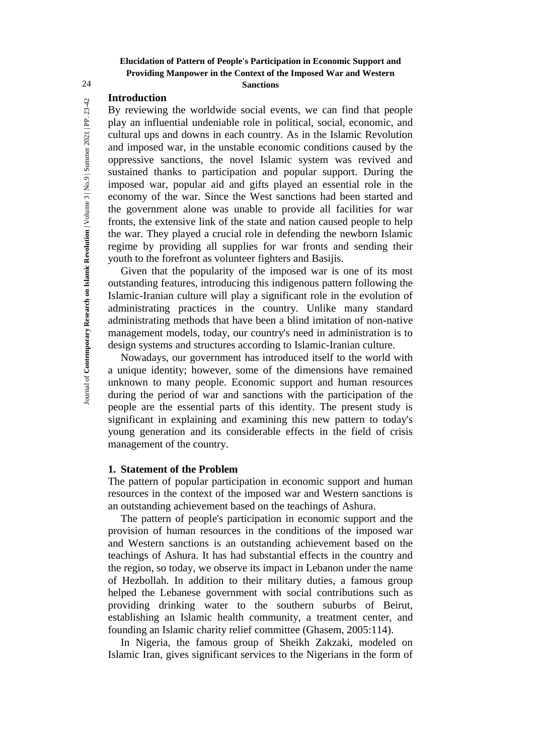24 **Sanctions**

#### **Introduction**

By reviewing the worldwide social events, we can find that people play an influential undeniable role in political, social, economic, and cultural ups and downs in each country. As in the Islamic Revolution and imposed war, in the unstable economic conditions caused by the oppressive sanctions, the novel Islamic system was revived and sustained thanks to participation and popular support. During the imposed war, popular aid and gifts played an essential role in the economy of the war. Since the West sanctions had been started and the government alone was unable to provide all facilities for war fronts, the extensive link of the state and nation caused people to help the war. They played a crucial role in defending the newborn Islamic regime by providing all supplies for war fronts and sending their youth to the forefront as volunteer fighters and Basijis.

Given that the popularity of the imposed war is one of its most outstanding features, introducing this indigenous pattern following the Islamic-Iranian culture will play a significant role in the evolution of administrating practices in the country. Unlike many standard administrating methods that have been a blind imitation of non-native management models, today, our country's need in administration is to design systems and structures according to Islamic-Iranian culture.

Nowadays, our government has introduced itself to the world with a unique identity; however, some of the dimensions have remained unknown to many people. Economic support and human resources during the period of war and sanctions with the participation of the people are the essential parts of this identity. The present study is significant in explaining and examining this new pattern to today's young generation and its considerable effects in the field of crisis management of the country.

## **1. Statement of the Problem**

The pattern of popular participation in economic support and human resources in the context of the imposed war and Western sanctions is an outstanding achievement based on the teachings of Ashura.

The pattern of people's participation in economic support and the provision of human resources in the conditions of the imposed war and Western sanctions is an outstanding achievement based on the teachings of Ashura. It has had substantial effects in the country and the region, so today, we observe its impact in Lebanon under the name of Hezbollah. In addition to their military duties, a famous group helped the Lebanese government with social contributions such as providing drinking water to the southern suburbs of Beirut, establishing an Islamic health community, a treatment center, and founding an Islamic charity relief committee (Ghasem, 2005:114).

In Nigeria, the famous group of Sheikh Zakzaki, modeled on Islamic Iran, gives significant services to the Nigerians in the form of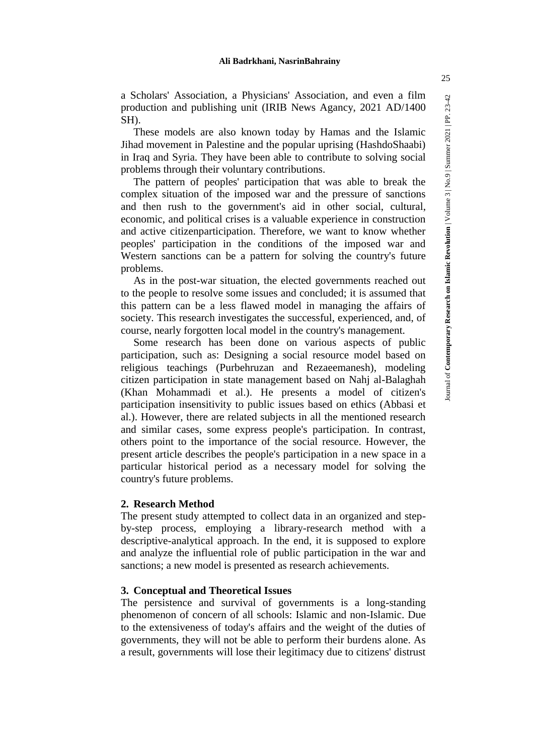a Scholars' Association, a Physicians' Association, and even a film production and publishing unit (IRIB News Agancy, 2021 AD/1400 SH).

These models are also known today by Hamas and the Islamic Jihad movement in Palestine and the popular uprising (HashdoShaabi) in Iraq and Syria. They have been able to contribute to solving social problems through their voluntary contributions.

The pattern of peoples' participation that was able to break the complex situation of the imposed war and the pressure of sanctions and then rush to the government's aid in other social, cultural, economic, and political crises is a valuable experience in construction and active citizenparticipation. Therefore, we want to know whether peoples' participation in the conditions of the imposed war and Western sanctions can be a pattern for solving the country's future problems.

As in the post-war situation, the elected governments reached out to the people to resolve some issues and concluded; it is assumed that this pattern can be a less flawed model in managing the affairs of society. This research investigates the successful, experienced, and, of course, nearly forgotten local model in the country's management.

Some research has been done on various aspects of public participation, such as: Designing a social resource model based on religious teachings (Purbehruzan and Rezaeemanesh), modeling citizen participation in state management based on Nahj al-Balaghah (Khan Mohammadi et al.). He presents a model of citizen's participation insensitivity to public issues based on ethics (Abbasi et al.). However, there are related subjects in all the mentioned research and similar cases, some express people's participation. In contrast, others point to the importance of the social resource. However, the present article describes the people's participation in a new space in a particular historical period as a necessary model for solving the country's future problems.

#### **2. Research Method**

The present study attempted to collect data in an organized and stepby-step process, employing a library-research method with a descriptive-analytical approach. In the end, it is supposed to explore and analyze the influential role of public participation in the war and sanctions; a new model is presented as research achievements.

#### **3. Conceptual and Theoretical Issues**

The persistence and survival of governments is a long-standing phenomenon of concern of all schools: Islamic and non-Islamic. Due to the extensiveness of today's affairs and the weight of the duties of governments, they will not be able to perform their burdens alone. As a result, governments will lose their legitimacy due to citizens' distrust  $23 - 42$ 

Journal of **Contemporary Research on Islamic Revolution** | Volume 3 | No.9 | Summer 2021 | PP. 23-42

Journal of Contemporary Research on Islamic Revolution | Volume 3 | No.9 | Summer 2021 | PP.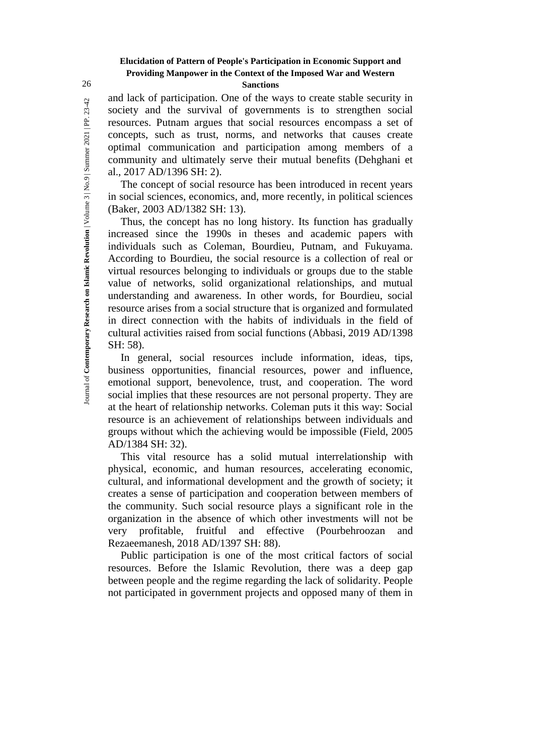## 26 **Sanctions**

and lack of participation. One of the ways to create stable security in society and the survival of governments is to strengthen social resources. Putnam argues that social resources encompass a set of concepts, such as trust, norms, and networks that causes create optimal communication and participation among members of a community and ultimately serve their mutual benefits (Dehghani et al., 2017 AD/1396 SH: 2).

The concept of social resource has been introduced in recent years in social sciences, economics, and, more recently, in political sciences (Baker, 2003 AD/1382 SH: 13).

Thus, the concept has no long history. Its function has gradually increased since the 1990s in theses and academic papers with individuals such as Coleman, Bourdieu, Putnam, and Fukuyama. According to Bourdieu, the social resource is a collection of real or virtual resources belonging to individuals or groups due to the stable value of networks, solid organizational relationships, and mutual understanding and awareness. In other words, for Bourdieu, social resource arises from a social structure that is organized and formulated in direct connection with the habits of individuals in the field of cultural activities raised from social functions (Abbasi, 2019 AD/1398 SH: 58).

In general, social resources include information, ideas, tips, business opportunities, financial resources, power and influence, emotional support, benevolence, trust, and cooperation. The word social implies that these resources are not personal property. They are at the heart of relationship networks. Coleman puts it this way: Social resource is an achievement of relationships between individuals and groups without which the achieving would be impossible (Field, 2005 AD/1384 SH: 32).

This vital resource has a solid mutual interrelationship with physical, economic, and human resources, accelerating economic, cultural, and informational development and the growth of society; it creates a sense of participation and cooperation between members of the community. Such social resource plays a significant role in the organization in the absence of which other investments will not be very profitable, fruitful and effective (Pourbehroozan and Rezaeemanesh, 2018 AD/1397 SH: 88).

Public participation is one of the most critical factors of social resources. Before the Islamic Revolution, there was a deep gap between people and the regime regarding the lack of solidarity. People not participated in government projects and opposed many of them in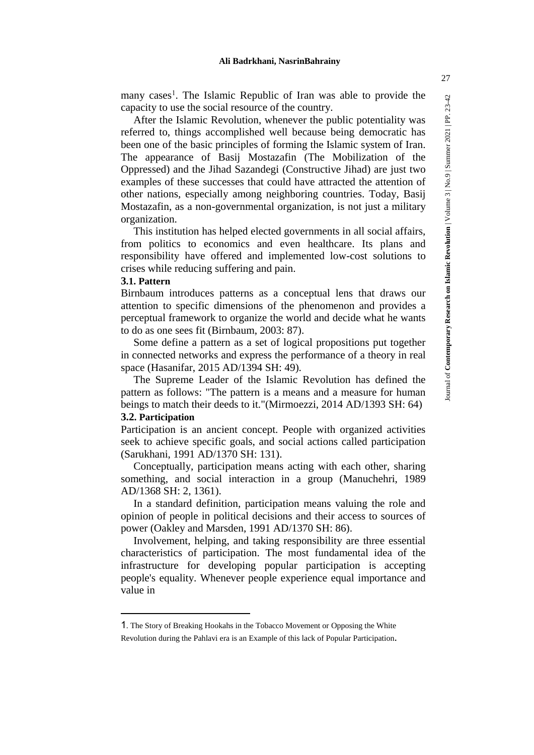many cases 1 . The Islamic Republic of Iran was able to provide the capacity to use the social resource of the country.

After the Islamic Revolution, whenever the public potentiality was referred to, things accomplished well because being democratic has been one of the basic principles of forming the Islamic system of Iran. The appearance of Basij Mostazafin (The Mobilization of the Oppressed) and the Jihad Sazandegi (Constructive Jihad) are just two examples of these successes that could have attracted the attention of other nations, especially among neighboring countries. Today, Basij Mostazafin, as a non-governmental organization, is not just a military organization.

This institution has helped elected governments in all social affairs, from politics to economics and even healthcare. Its plans and responsibility have offered and implemented low-cost solutions to crises while reducing suffering and pain.

#### **3.1. Pattern**

Birnbaum introduces patterns as a conceptual lens that draws our attention to specific dimensions of the phenomenon and provides a perceptual framework to organize the world and decide what he wants to do as one sees fit (Birnbaum, 2003: 87).

Some define a pattern as a set of logical propositions put together in connected networks and express the performance of a theory in real space (Hasanifar, 2015 AD/1394 SH: 49).

The Supreme Leader of the Islamic Revolution has defined the pattern as follows: "The pattern is a means and a measure for human beings to match their deeds to it."(Mirmoezzi, 2014 AD/1393 SH: 64)

## **3.2. Participation**

<u>.</u>

Participation is an ancient concept. People with organized activities seek to achieve specific goals, and social actions called participation (Sarukhani, 1991 AD/1370 SH: 131).

Conceptually, participation means acting with each other, sharing something, and social interaction in a group (Manuchehri, 1989 AD/1368 SH: 2, 1361).

In a standard definition, participation means valuing the role and opinion of people in political decisions and their access to sources of power (Oakley and Marsden, 1991 AD/1370 SH: 86).

Involvement, helping, and taking responsibility are three essential characteristics of participation. The most fundamental idea of the infrastructure for developing popular participation is accepting people's equality. Whenever people experience equal importance and value in

Journal of **Contemporary Research on Islamic Revolution** | Volume 3 | No.9 | Summer 2021 | PP. 23-

Journal of Contemporary Research on Islamic Revolution | Volume 3 | No.9 | Summer 2021 | PP. 23-42

<sup>1</sup>. The Story of Breaking Hookahs in the Tobacco Movement or Opposing the White Revolution during the Pahlavi era is an Example of this lack of Popular Participation.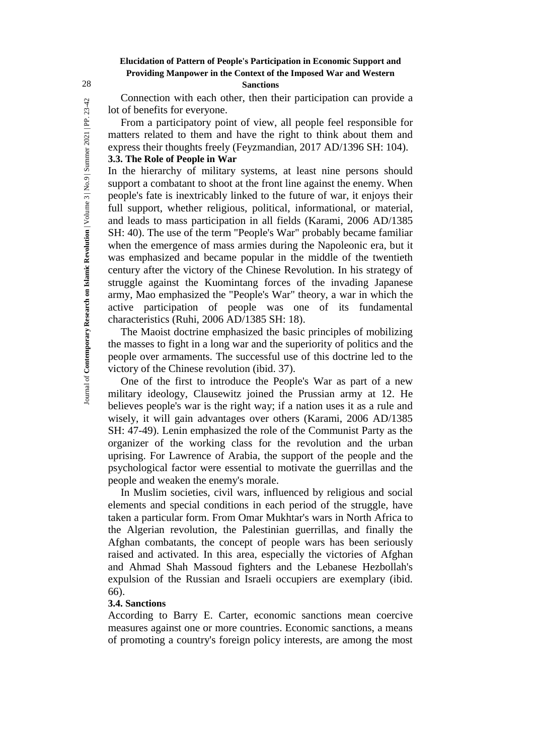## 28 **Sanctions**

Connection with each other, then their participation can provide a lot of benefits for everyone.

From a participatory point of view, all people feel responsible for matters related to them and have the right to think about them and express their thoughts freely (Feyzmandian, 2017 AD/1396 SH: 104).

## **3.3. The Role of People in War**

In the hierarchy of military systems, at least nine persons should support a combatant to shoot at the front line against the enemy. When people's fate is inextricably linked to the future of war, it enjoys their full support, whether religious, political, informational, or material, and leads to mass participation in all fields (Karami, 2006 AD/1385 SH: 40). The use of the term "People's War" probably became familiar when the emergence of mass armies during the Napoleonic era, but it was emphasized and became popular in the middle of the twentieth century after the victory of the Chinese Revolution. In his strategy of struggle against the Kuomintang forces of the invading Japanese army, Mao emphasized the "People's War" theory, a war in which the active participation of people was one of its fundamental characteristics (Ruhi, 2006 AD/1385 SH: 18).

The Maoist doctrine emphasized the basic principles of mobilizing the masses to fight in a long war and the superiority of politics and the people over armaments. The successful use of this doctrine led to the victory of the Chinese revolution (ibid. 37).

One of the first to introduce the People's War as part of a new military ideology, Clausewitz joined the Prussian army at 12. He believes people's war is the right way; if a nation uses it as a rule and wisely, it will gain advantages over others (Karami, 2006 AD/1385 SH: 47-49). Lenin emphasized the role of the Communist Party as the organizer of the working class for the revolution and the urban uprising. For Lawrence of Arabia, the support of the people and the psychological factor were essential to motivate the guerrillas and the people and weaken the enemy's morale.

In Muslim societies, civil wars, influenced by religious and social elements and special conditions in each period of the struggle, have taken a particular form. From Omar Mukhtar's wars in North Africa to the Algerian revolution, the Palestinian guerrillas, and finally the Afghan combatants, the concept of people wars has been seriously raised and activated. In this area, especially the victories of Afghan and Ahmad Shah Massoud fighters and the Lebanese Hezbollah's expulsion of the Russian and Israeli occupiers are exemplary (ibid. 66).

## **3.4. Sanctions**

According to Barry E. Carter, economic sanctions mean coercive measures against one or more countries. Economic sanctions, a means of promoting a country's foreign policy interests, are among the most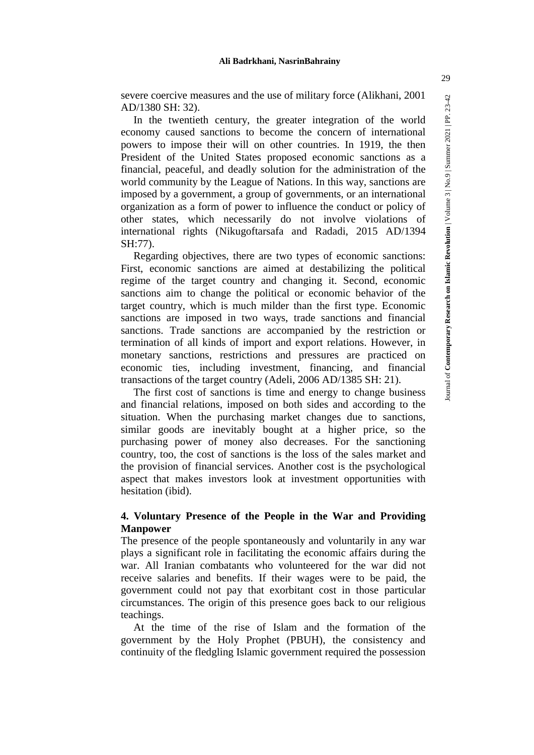severe coercive measures and the use of military force (Alikhani, 2001 AD/1380 SH: 32).

In the twentieth century, the greater integration of the world economy caused sanctions to become the concern of international powers to impose their will on other countries. In 1919, the then President of the United States proposed economic sanctions as a financial, peaceful, and deadly solution for the administration of the world community by the League of Nations. In this way, sanctions are imposed by a government, a group of governments, or an international organization as a form of power to influence the conduct or policy of other states, which necessarily do not involve violations of international rights (Nikugoftarsafa and Radadi, 2015 AD/1394 SH:77).

Regarding objectives, there are two types of economic sanctions: First, economic sanctions are aimed at destabilizing the political regime of the target country and changing it. Second, economic sanctions aim to change the political or economic behavior of the target country, which is much milder than the first type. Economic sanctions are imposed in two ways, trade sanctions and financial sanctions. Trade sanctions are accompanied by the restriction or termination of all kinds of import and export relations. However, in monetary sanctions, restrictions and pressures are practiced on economic ties, including investment, financing, and financial transactions of the target country (Adeli, 2006 AD/1385 SH: 21).

The first cost of sanctions is time and energy to change business and financial relations, imposed on both sides and according to the situation. When the purchasing market changes due to sanctions, similar goods are inevitably bought at a higher price, so the purchasing power of money also decreases. For the sanctioning country, too, the cost of sanctions is the loss of the sales market and the provision of financial services. Another cost is the psychological aspect that makes investors look at investment opportunities with hesitation (ibid).

## **4. Voluntary Presence of the People in the War and Providing Manpower**

The presence of the people spontaneously and voluntarily in any war plays a significant role in facilitating the economic affairs during the war. All Iranian combatants who volunteered for the war did not receive salaries and benefits. If their wages were to be paid, the government could not pay that exorbitant cost in those particular circumstances. The origin of this presence goes back to our religious teachings.

At the time of the rise of Islam and the formation of the government by the Holy Prophet (PBUH), the consistency and continuity of the fledgling Islamic government required the possession 29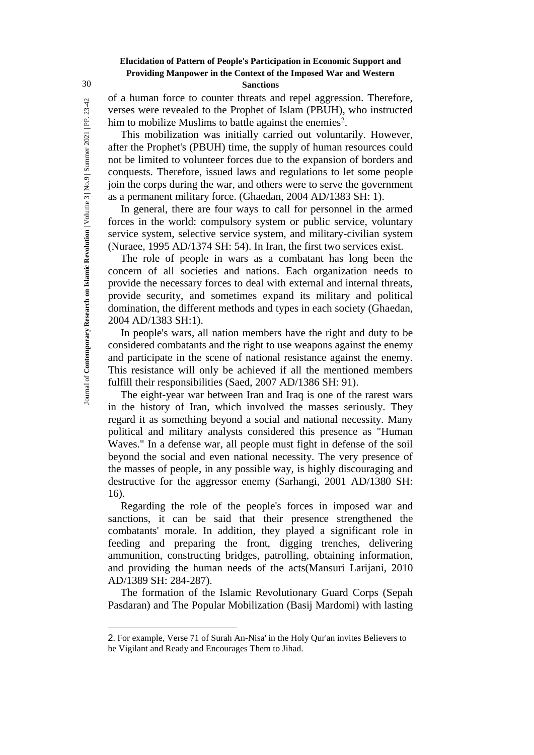## 30 **Sanctions**

of a human force to counter threats and repel aggression. Therefore, verses were revealed to the Prophet of Islam (PBUH), who instructed him to mobilize Muslims to battle against the enemies<sup>2</sup>.

This mobilization was initially carried out voluntarily. However, after the Prophet's (PBUH) time, the supply of human resources could not be limited to volunteer forces due to the expansion of borders and conquests. Therefore, issued laws and regulations to let some people join the corps during the war, and others were to serve the government as a permanent military force. (Ghaedan, 2004 AD/1383 SH: 1).

In general, there are four ways to call for personnel in the armed forces in the world: compulsory system or public service, voluntary service system, selective service system, and military-civilian system (Nuraee, 1995 AD/1374 SH: 54). In Iran, the first two services exist.

The role of people in wars as a combatant has long been the concern of all societies and nations. Each organization needs to provide the necessary forces to deal with external and internal threats, provide security, and sometimes expand its military and political domination, the different methods and types in each society (Ghaedan, 2004 AD/1383 SH:1).

In people's wars, all nation members have the right and duty to be considered combatants and the right to use weapons against the enemy and participate in the scene of national resistance against the enemy. This resistance will only be achieved if all the mentioned members fulfill their responsibilities (Saed, 2007 AD/1386 SH: 91).

The eight-year war between Iran and Iraq is one of the rarest wars in the history of Iran, which involved the masses seriously. They regard it as something beyond a social and national necessity. Many political and military analysts considered this presence as "Human Waves." In a defense war, all people must fight in defense of the soil beyond the social and even national necessity. The very presence of the masses of people, in any possible way, is highly discouraging and destructive for the aggressor enemy (Sarhangi, 2001 AD/1380 SH: 16).

Regarding the role of the people's forces in imposed war and sanctions, it can be said that their presence strengthened the combatants' morale. In addition, they played a significant role in feeding and preparing the front, digging trenches, delivering ammunition, constructing bridges, patrolling, obtaining information, and providing the human needs of the acts(Mansuri Larijani, 2010 AD/1389 SH: 284-287).

The formation of the Islamic Revolutionary Guard Corps (Sepah Pasdaran) and The Popular Mobilization (Basij Mardomi) with lasting

1

<sup>2</sup>. For example, Verse 71 of Surah An-Nisa' in the Holy Qur'an invites Believers to be Vigilant and Ready and Encourages Them to Jihad.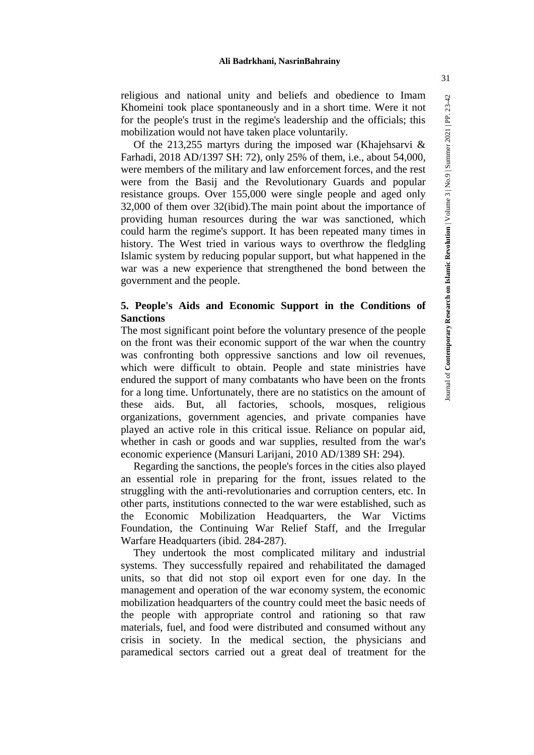religious and national unity and beliefs and obedience to Imam Khomeini took place spontaneously and in a short time. Were it not for the people's trust in the regime's leadership and the officials; this mobilization would not have taken place voluntarily.

Of the 213,255 martyrs during the imposed war (Khajehsarvi  $\&$ Farhadi, 2018 AD/1397 SH: 72), only 25% of them, i.e., about 54,000, were members of the military and law enforcement forces, and the rest were from the Basij and the Revolutionary Guards and popular resistance groups. Over 155,000 were single people and aged only 32,000 of them over 32(ibid).The main point about the importance of providing human resources during the war was sanctioned, which could harm the regime's support. It has been repeated many times in history. The West tried in various ways to overthrow the fledgling Islamic system by reducing popular support, but what happened in the war was a new experience that strengthened the bond between the government and the people.

## **5. People's Aids and Economic Support in the Conditions of Sanctions**

The most significant point before the voluntary presence of the people on the front was their economic support of the war when the country was confronting both oppressive sanctions and low oil revenues, which were difficult to obtain. People and state ministries have endured the support of many combatants who have been on the fronts for a long time. Unfortunately, there are no statistics on the amount of these aids. But, all factories, schools, mosques, religious organizations, government agencies, and private companies have played an active role in this critical issue. Reliance on popular aid, whether in cash or goods and war supplies, resulted from the war's economic experience (Mansuri Larijani, 2010 AD/1389 SH: 294).

Regarding the sanctions, the people's forces in the cities also played an essential role in preparing for the front, issues related to the struggling with the anti-revolutionaries and corruption centers, etc. In other parts, institutions connected to the war were established, such as the Economic Mobilization Headquarters, the War Victims Foundation, the Continuing War Relief Staff, and the Irregular Warfare Headquarters (ibid. 284-287).

They undertook the most complicated military and industrial systems. They successfully repaired and rehabilitated the damaged units, so that did not stop oil export even for one day. In the management and operation of the war economy system, the economic mobilization headquarters of the country could meet the basic needs of the people with appropriate control and rationing so that raw materials, fuel, and food were distributed and consumed without any crisis in society. In the medical section, the physicians and paramedical sectors carried out a great deal of treatment for the

 $23 - 42$ 

Journal of **Contemporary Research on Islamic Revolution** | Volume 3 | No.9 | Summer 2021 | PP. 23-42

Journal of Contemporary Research on Islamic Revolution | Volume 3 | No.9 | Summer 2021 | PP.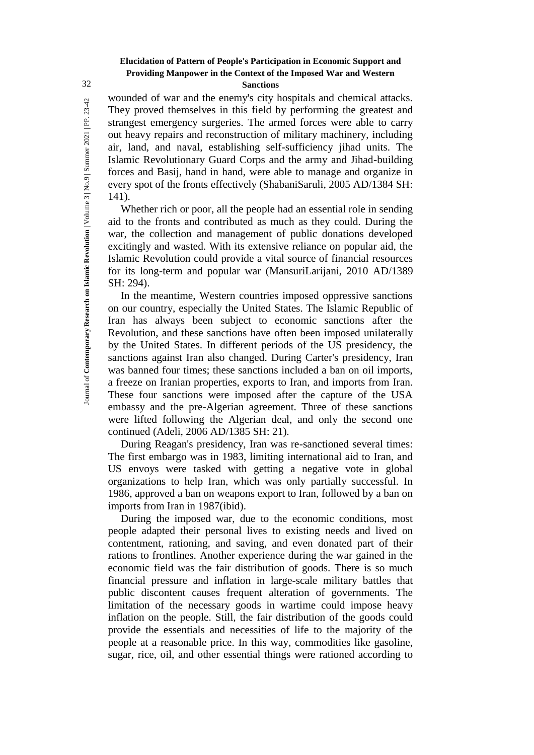## 32 **Sanctions**

wounded of war and the enemy's city hospitals and chemical attacks. They proved themselves in this field by performing the greatest and strangest emergency surgeries. The armed forces were able to carry out heavy repairs and reconstruction of military machinery, including air, land, and naval, establishing self-sufficiency jihad units. The Islamic Revolutionary Guard Corps and the army and Jihad-building forces and Basij, hand in hand, were able to manage and organize in every spot of the fronts effectively (ShabaniSaruli, 2005 AD/1384 SH: 141).

Whether rich or poor, all the people had an essential role in sending aid to the fronts and contributed as much as they could. During the war, the collection and management of public donations developed excitingly and wasted. With its extensive reliance on popular aid, the Islamic Revolution could provide a vital source of financial resources for its long-term and popular war (MansuriLarijani, 2010 AD/1389 SH: 294).

In the meantime, Western countries imposed oppressive sanctions on our country, especially the United States. The Islamic Republic of Iran has always been subject to economic sanctions after the Revolution, and these sanctions have often been imposed unilaterally by the United States. In different periods of the US presidency, the sanctions against Iran also changed. During Carter's presidency, Iran was banned four times; these sanctions included a ban on oil imports, a freeze on Iranian properties, exports to Iran, and imports from Iran. These four sanctions were imposed after the capture of the USA embassy and the pre-Algerian agreement. Three of these sanctions were lifted following the Algerian deal, and only the second one continued (Adeli, 2006 AD/1385 SH: 21).

During Reagan's presidency, Iran was re-sanctioned several times: The first embargo was in 1983, limiting international aid to Iran, and US envoys were tasked with getting a negative vote in global organizations to help Iran, which was only partially successful. In 1986, approved a ban on weapons export to Iran, followed by a ban on imports from Iran in 1987(ibid).

During the imposed war, due to the economic conditions, most people adapted their personal lives to existing needs and lived on contentment, rationing, and saving, and even donated part of their rations to frontlines. Another experience during the war gained in the economic field was the fair distribution of goods. There is so much financial pressure and inflation in large-scale military battles that public discontent causes frequent alteration of governments. The limitation of the necessary goods in wartime could impose heavy inflation on the people. Still, the fair distribution of the goods could provide the essentials and necessities of life to the majority of the people at a reasonable price. In this way, commodities like gasoline, sugar, rice, oil, and other essential things were rationed according to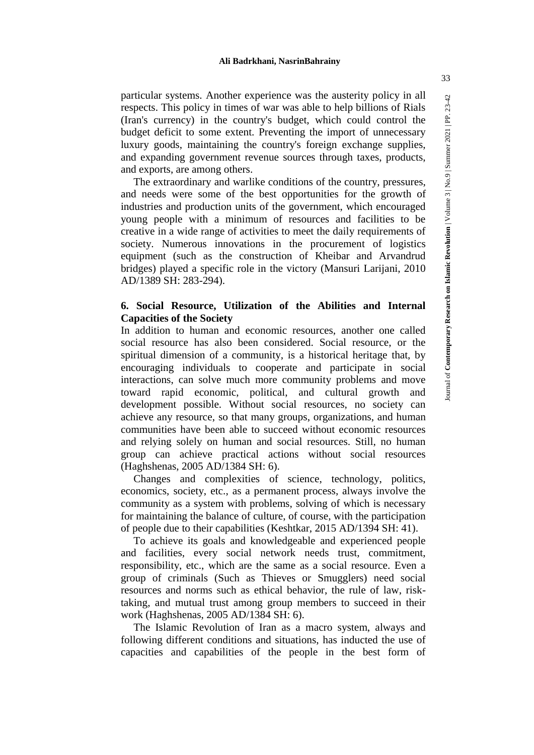#### **Ali Badrkhani, NasrinBahrainy**

particular systems. Another experience was the austerity policy in all respects. This policy in times of war was able to help billions of Rials (Iran's currency) in the country's budget, which could control the budget deficit to some extent. Preventing the import of unnecessary luxury goods, maintaining the country's foreign exchange supplies, and expanding government revenue sources through taxes, products, and exports, are among others.

The extraordinary and warlike conditions of the country, pressures, and needs were some of the best opportunities for the growth of industries and production units of the government, which encouraged young people with a minimum of resources and facilities to be creative in a wide range of activities to meet the daily requirements of society. Numerous innovations in the procurement of logistics equipment (such as the construction of Kheibar and Arvandrud bridges) played a specific role in the victory (Mansuri Larijani, 2010 AD/1389 SH: 283-294).

## **6. Social Resource, Utilization of the Abilities and Internal Capacities of the Society**

In addition to human and economic resources, another one called social resource has also been considered. Social resource, or the spiritual dimension of a community, is a historical heritage that, by encouraging individuals to cooperate and participate in social interactions, can solve much more community problems and move toward rapid economic, political, and cultural growth and development possible. Without social resources, no society can achieve any resource, so that many groups, organizations, and human communities have been able to succeed without economic resources and relying solely on human and social resources. Still, no human group can achieve practical actions without social resources (Haghshenas, 2005 AD/1384 SH: 6).

Changes and complexities of science, technology, politics, economics, society, etc., as a permanent process, always involve the community as a system with problems, solving of which is necessary for maintaining the balance of culture, of course, with the participation of people due to their capabilities (Keshtkar, 2015 AD/1394 SH: 41).

To achieve its goals and knowledgeable and experienced people and facilities, every social network needs trust, commitment, responsibility, etc., which are the same as a social resource. Even a group of criminals (Such as Thieves or Smugglers) need social resources and norms such as ethical behavior, the rule of law, risktaking, and mutual trust among group members to succeed in their work (Haghshenas, 2005 AD/1384 SH: 6).

The Islamic Revolution of Iran as a macro system, always and following different conditions and situations, has inducted the use of capacities and capabilities of the people in the best form of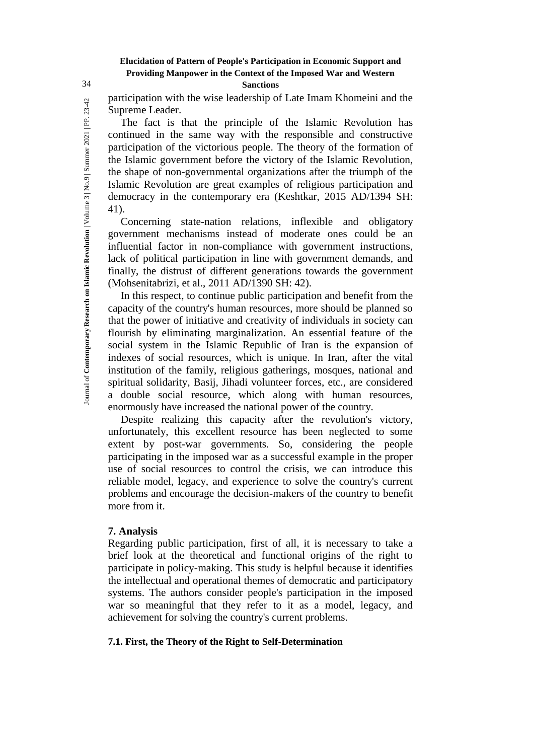## 34 **Sanctions**

participation with the wise leadership of Late Imam Khomeini and the Supreme Leader.

The fact is that the principle of the Islamic Revolution has continued in the same way with the responsible and constructive participation of the victorious people. The theory of the formation of the Islamic government before the victory of the Islamic Revolution, the shape of non-governmental organizations after the triumph of the Islamic Revolution are great examples of religious participation and democracy in the contemporary era (Keshtkar, 2015 AD/1394 SH: 41).

Concerning state-nation relations, inflexible and obligatory government mechanisms instead of moderate ones could be an influential factor in non-compliance with government instructions, lack of political participation in line with government demands, and finally, the distrust of different generations towards the government (Mohsenitabrizi, et al., 2011 AD/1390 SH: 42).

In this respect, to continue public participation and benefit from the capacity of the country's human resources, more should be planned so that the power of initiative and creativity of individuals in society can flourish by eliminating marginalization. An essential feature of the social system in the Islamic Republic of Iran is the expansion of indexes of social resources, which is unique. In Iran, after the vital institution of the family, religious gatherings, mosques, national and spiritual solidarity, Basij, Jihadi volunteer forces, etc., are considered a double social resource, which along with human resources, enormously have increased the national power of the country.

Despite realizing this capacity after the revolution's victory, unfortunately, this excellent resource has been neglected to some extent by post-war governments. So, considering the people participating in the imposed war as a successful example in the proper use of social resources to control the crisis, we can introduce this reliable model, legacy, and experience to solve the country's current problems and encourage the decision-makers of the country to benefit more from it.

#### **7. Analysis**

Regarding public participation, first of all, it is necessary to take a brief look at the theoretical and functional origins of the right to participate in policy-making. This study is helpful because it identifies the intellectual and operational themes of democratic and participatory systems. The authors consider people's participation in the imposed war so meaningful that they refer to it as a model, legacy, and achievement for solving the country's current problems.

#### **7.1. First, the Theory of the Right to Self-Determination**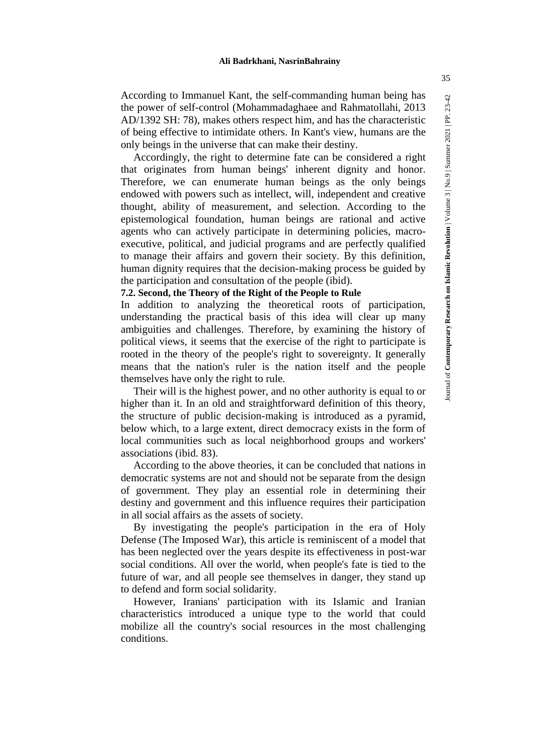A ccording to Immanuel Kant, the self-commanding human being has the power of self-control (Mohammadaghaee and Rahmatollahi, 2013 AD/1392 SH: 78), makes others respect him, and has the characteristic of being effective to intimidate others. In Kant's view, humans are the only beings in the universe that can make their destiny.

Accordingly, the right to determine fate can be considered a right that originates from human beings' inherent dignity and honor. Therefore, we can enumerate human beings as the only beings endowed with powers such as intellect, will, independent and creative thought, ability of measurement, and selection. According to the epistemological foundation, human beings are rational and active agents who can actively participate in determining policies, macroexecutive, political, and judicial programs and are perfectly qualified to manage their affairs and govern their society. By this definition, human dignity requires that the decision-making process be guided by the participation and consultation of the people (ibid).

**7.2. Second, the Theory of the Right of the People to Rule**

In addition to analyzing the theoretical roots of participation, understanding the practical basis of this idea will clear up many ambiguities and challenges. Therefore, by examining the history of political views, it seems that the exercise of the right to participate is rooted in the theory of the people's right to sovereignty. It generally means that the nation's ruler is the nation itself and the people themselves have only the right to rule.

Their will is the highest power, and no other authority is equal to or higher than it. In an old and straightforward definition of this theory, the structure of public decision-making is introduced as a pyramid, below which, to a large extent, direct democracy exists in the form of local communities such as local neighborhood groups and workers' associations (ibid. 83).

According to the above theories, it can be concluded that nations in democratic systems are not and should not be separate from the design of government. They play an essential role in determining their destiny and government and this influence requires their participation in all social affairs as the assets of society.

By investigating the people's participation in the era of Holy Defense (The Imposed War), this article is reminiscent of a model that has been neglected over the years despite its effectiveness in post-war social conditions. All over the world, when people's fate is tied to the future of war, and all people see themselves in danger, they stand up to defend and form social solidarity.

However, Iranians' participation with its Islamic and Iranian characteristics introduced a unique type to the world that could mobilize all the country's social resources in the most challenging conditions.

23-42

Journal of **Contemporary Research on Islamic Revolution** | Volume 3 | No.9 | Summer 2021 | PP. 23-

ournal of Contemporary Research on Islamic Revolution | Volume 3 | No.9 | Summer 2021 | PP.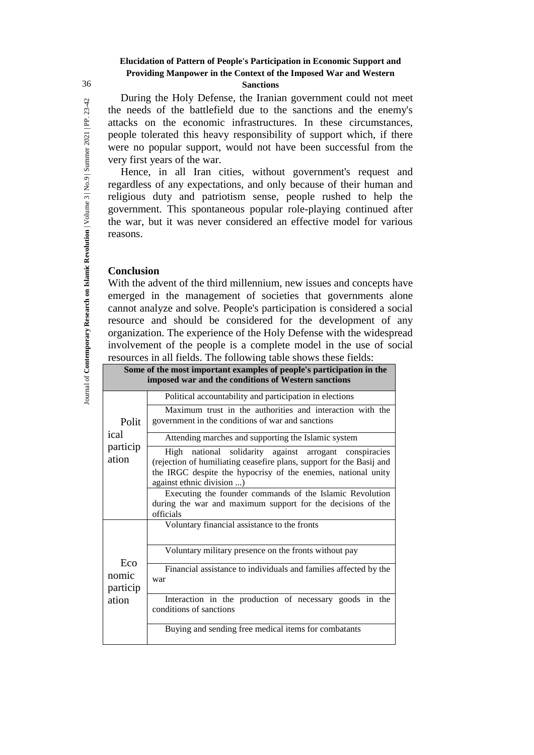## 36 **Sanctions**

During the Holy Defense, the Iranian government could not meet the needs of the battlefield due to the sanctions and the enemy's attacks on the economic infrastructures. In these circumstances, people tolerated this heavy responsibility of support which, if there were no popular support, would not have been successful from the very first years of the war.

Hence, in all Iran cities, without government's request and regardless of any expectations, and only because of their human and religious duty and patriotism sense, people rushed to help the government. This spontaneous popular role-playing continued after the war, but it was never considered an effective model for various reasons.

## **Conclusion**

With the advent of the third millennium, new issues and concepts have emerged in the management of societies that governments alone cannot analyze and solve. People's participation is considered a social resource and should be considered for the development of any organization. The experience of the Holy Defense with the widespread involvement of the people is a complete model in the use of social resources in all fields. The following table shows these fields:

| Some of the most important examples of people's participation in the<br>imposed war and the conditions of Western sanctions |                                                                                                                                                                                                                                                                                          |  |
|-----------------------------------------------------------------------------------------------------------------------------|------------------------------------------------------------------------------------------------------------------------------------------------------------------------------------------------------------------------------------------------------------------------------------------|--|
| Polit<br>ical<br>particip<br>ation                                                                                          | Political accountability and participation in elections                                                                                                                                                                                                                                  |  |
|                                                                                                                             | Maximum trust in the authorities and interaction with the<br>government in the conditions of war and sanctions                                                                                                                                                                           |  |
|                                                                                                                             | Attending marches and supporting the Islamic system                                                                                                                                                                                                                                      |  |
|                                                                                                                             | High national solidarity against arrogant conspiracies<br>(rejection of humiliating ceasefire plans, support for the Basij and<br>the IRGC despite the hypocrisy of the enemies, national unity<br>against ethnic division )<br>Executing the founder commands of the Islamic Revolution |  |
|                                                                                                                             | during the war and maximum support for the decisions of the<br>officials                                                                                                                                                                                                                 |  |
| Eco<br>nomic<br>particip<br>ation                                                                                           | Voluntary financial assistance to the fronts                                                                                                                                                                                                                                             |  |
|                                                                                                                             | Voluntary military presence on the fronts without pay                                                                                                                                                                                                                                    |  |
|                                                                                                                             | Financial assistance to individuals and families affected by the<br>war                                                                                                                                                                                                                  |  |
|                                                                                                                             | Interaction in the production of necessary goods in the<br>conditions of sanctions                                                                                                                                                                                                       |  |
|                                                                                                                             | Buying and sending free medical items for combatants                                                                                                                                                                                                                                     |  |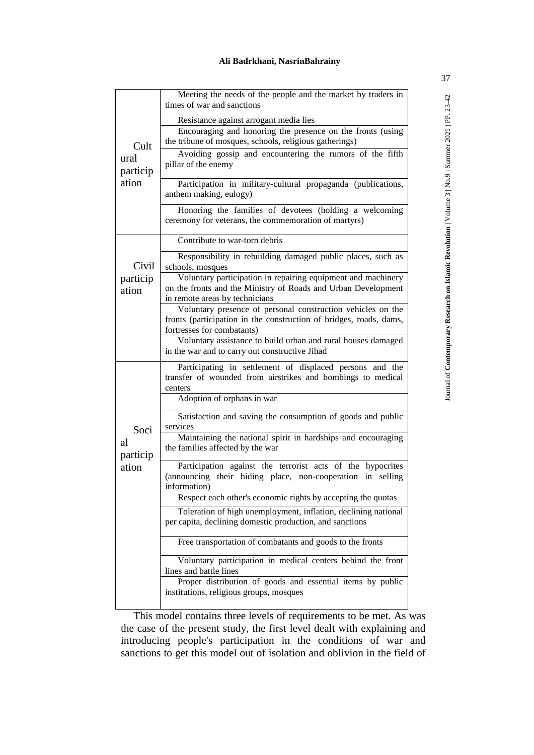#### **Ali Badrkhani, NasrinBahrainy**

|                                   | Meeting the needs of the people and the market by traders in<br>times of war and sanctions                                                                                                                                                        |
|-----------------------------------|---------------------------------------------------------------------------------------------------------------------------------------------------------------------------------------------------------------------------------------------------|
| Cult<br>ural<br>particip<br>ation | Resistance against arrogant media lies<br>Encouraging and honoring the presence on the fronts (using<br>the tribune of mosques, schools, religious gatherings)<br>Avoiding gossip and encountering the rumors of the fifth<br>pillar of the enemy |
|                                   | Participation in military-cultural propaganda (publications,<br>anthem making, eulogy)<br>Honoring the families of devotees (holding a welcoming                                                                                                  |
|                                   | ceremony for veterans, the commemoration of martyrs)                                                                                                                                                                                              |
| Civil<br>particip<br>ation        | Contribute to war-torn debris                                                                                                                                                                                                                     |
|                                   | Responsibility in rebuilding damaged public places, such as<br>schools, mosques                                                                                                                                                                   |
|                                   | Voluntary participation in repairing equipment and machinery<br>on the fronts and the Ministry of Roads and Urban Development<br>in remote areas by technicians                                                                                   |
|                                   | Voluntary presence of personal construction vehicles on the<br>fronts (participation in the construction of bridges, roads, dams,<br>fortresses for combatants)                                                                                   |
|                                   | Voluntary assistance to build urban and rural houses damaged<br>in the war and to carry out constructive Jihad                                                                                                                                    |
| Soci<br>al<br>particip<br>ation   | Participating in settlement of displaced persons and the<br>transfer of wounded from airstrikes and bombings to medical<br>centers                                                                                                                |
|                                   | Adoption of orphans in war                                                                                                                                                                                                                        |
|                                   | Satisfaction and saving the consumption of goods and public<br>services                                                                                                                                                                           |
|                                   | Maintaining the national spirit in hardships and encouraging<br>the families affected by the war                                                                                                                                                  |
|                                   | Participation against the terrorist acts of the hypocrites<br>(announcing their hiding place, non-cooperation in selling<br>information)                                                                                                          |
|                                   | Respect each other's economic rights by accepting the quotas                                                                                                                                                                                      |
|                                   | Toleration of high unemployment, inflation, declining national<br>per capita, declining domestic production, and sanctions                                                                                                                        |
|                                   | Free transportation of combatants and goods to the fronts                                                                                                                                                                                         |
|                                   | Voluntary participation in medical centers behind the front<br>lines and battle lines                                                                                                                                                             |
|                                   | Proper distribution of goods and essential items by public<br>institutions, religious groups, mosques                                                                                                                                             |

This model contains three levels of requirements to be met. As was the case of the present study, the first level dealt with explaining and introducing people's participation in the conditions of war and sanctions to get this model out of isolation and oblivion in the field of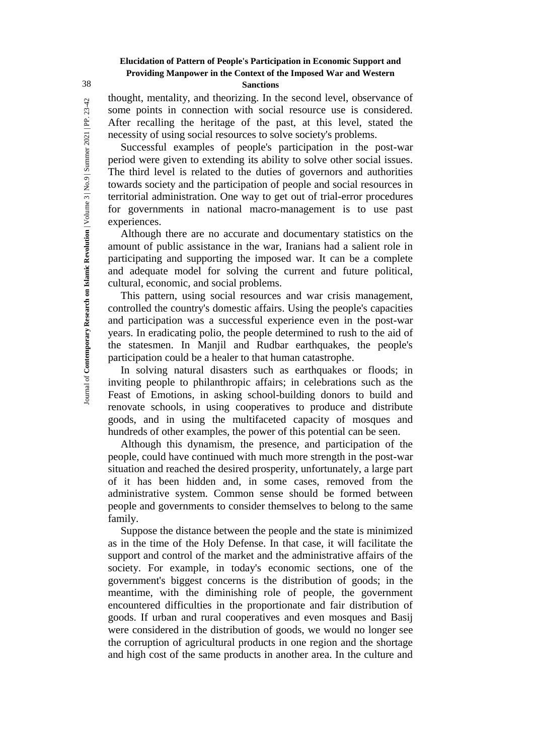## 38 **Sanctions**

thought, mentality, and theorizing. In the second level, observance of some points in connection with social resource use is considered. After recalling the heritage of the past, at this level, stated the necessity of using social resources to solve society's problems.

Successful examples of people's participation in the post-war period were given to extending its ability to solve other social issues. The third level is related to the duties of governors and authorities towards society and the participation of people and social resources in territorial administration. One way to get out of trial-error procedures for governments in national macro-management is to use past experiences.

Although there are no accurate and documentary statistics on the amount of public assistance in the war, Iranians had a salient role in participating and supporting the imposed war. It can be a complete and adequate model for solving the current and future political, cultural, economic, and social problems.

This pattern, using social resources and war crisis management, controlled the country's domestic affairs. Using the people's capacities and participation was a successful experience even in the post-war years. In eradicating polio, the people determined to rush to the aid of the statesmen. In Manjil and Rudbar earthquakes, the people's participation could be a healer to that human catastrophe.

In solving natural disasters such as earthquakes or floods; in inviting people to philanthropic affairs; in celebrations such as the Feast of Emotions, in asking school-building donors to build and renovate schools, in using cooperatives to produce and distribute goods, and in using the multifaceted capacity of mosques and hundreds of other examples, the power of this potential can be seen.

Although this dynamism, the presence, and participation of the people, could have continued with much more strength in the post-war situation and reached the desired prosperity, unfortunately, a large part of it has been hidden and, in some cases, removed from the administrative system. Common sense should be formed between people and governments to consider themselves to belong to the same family.

Suppose the distance between the people and the state is minimized as in the time of the Holy Defense. In that case, it will facilitate the support and control of the market and the administrative affairs of the society. For example, in today's economic sections, one of the government's biggest concerns is the distribution of goods; in the meantime, with the diminishing role of people, the government encountered difficulties in the proportionate and fair distribution of goods. If urban and rural cooperatives and even mosques and Basij were considered in the distribution of goods, we would no longer see the corruption of agricultural products in one region and the shortage and high cost of the same products in another area. In the culture and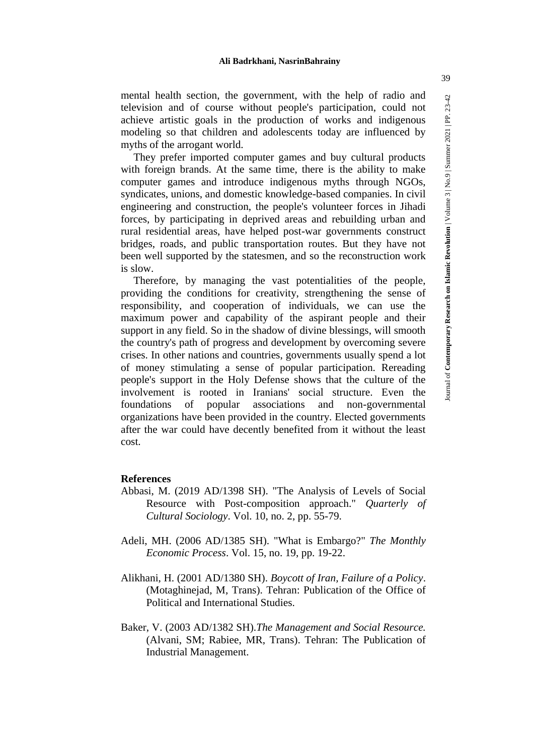#### **Ali Badrkhani, NasrinBahrainy**

mental health section, the government, with the help of radio and television and of course without people's participation, could not achieve artistic goals in the production of works and indigenous modeling so that children and adolescents today are influenced by myths of the arrogant world.

They prefer imported computer games and buy cultural products with foreign brands. At the same time, there is the ability to make computer games and introduce indigenous myths through NGOs, syndicates, unions, and domestic knowledge-based companies. In civil engineering and construction, the people's volunteer forces in Jihadi forces, by participating in deprived areas and rebuilding urban and rural residential areas, have helped post-war governments construct bridges, roads, and public transportation routes. But they have not been well supported by the statesmen, and so the reconstruction work is slow.

Therefore, by managing the vast potentialities of the people, providing the conditions for creativity, strengthening the sense of responsibility, and cooperation of individuals, we can use the maximum power and capability of the aspirant people and their support in any field. So in the shadow of divine blessings, will smooth the country's path of progress and development by overcoming severe crises. In other nations and countries, governments usually spend a lot of money stimulating a sense of popular participation. Rereading people's support in the Holy Defense shows that the culture of the involvement is rooted in Iranians' social structure. Even the foundations of popular associations and non-governmental organizations have been provided in the country. Elected governments after the war could have decently benefited from it without the least cost.

#### **References**

- Abbasi, M. (2019 AD/1398 SH). "The Analysis of Levels of Social Resource with Post-composition approach." *Quarterly of Cultural Sociology*. Vol. 10, no. 2, pp. 55-79.
- Adeli, MH. (2006 AD/1385 SH). "What is Embargo?" *The Monthly Economic Process*. Vol. 15, no. 19, pp. 19-22.
- Alikhani, H. (2001 AD/1380 SH). *Boycott of Iran, Failure of a Policy*. (Motaghinejad, M, Trans). Tehran: Publication of the Office of Political and International Studies.
- Baker, V. (2003 AD/1382 SH).*The Management and Social Resource.* (Alvani, SM; Rabiee, MR, Trans). Tehran: The Publication of Industrial Management.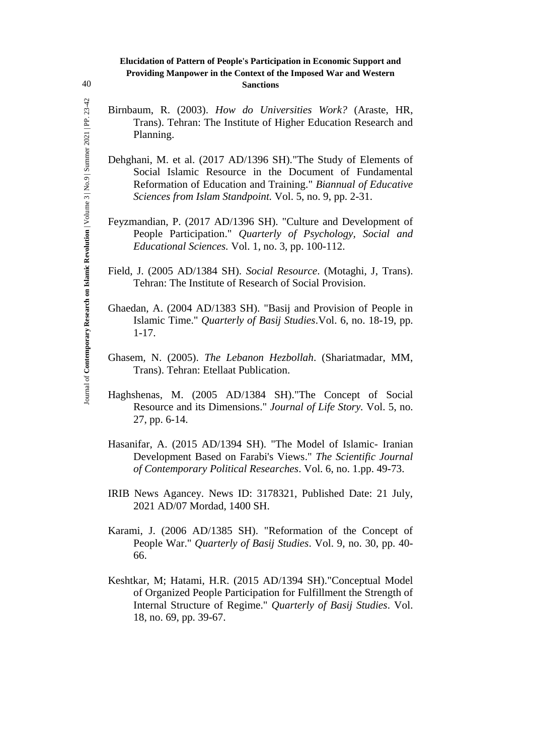- Birnbaum, R. (2003). *How do Universities Work?* (Araste, HR, Trans). Tehran: The Institute of Higher Education Research and Planning.
- Dehghani, M. et al. (2017 AD/1396 SH)."The Study of Elements of Social Islamic Resource in the Document of Fundamental Reformation of Education and Training." *Biannual of Educative Sciences from Islam Standpoint.* Vol. 5, no. 9, pp. 2-31.
- Feyzmandian, P. (2017 AD/1396 SH). "Culture and Development of People Participation." *Quarterly of Psychology, Social and Educational Sciences.* Vol. 1, no. 3, pp. 100-112.
- Field, J. (2005 AD/1384 SH). *Social Resource*. (Motaghi, J, Trans). Tehran: The Institute of Research of Social Provision.
- Ghaedan, A. (2004 AD/1383 SH). "Basij and Provision of People in Islamic Time." *Quarterly of Basij Studies*.Vol. 6, no. 18-19, pp. 1-17.
- Ghasem, N. (2005). *The Lebanon Hezbollah*. (Shariatmadar, MM, Trans). Tehran: Etellaat Publication.
- Haghshenas, M. (2005 AD/1384 SH)."The Concept of Social Resource and its Dimensions." *Journal of Life Story.* Vol. 5, no. 27, pp. 6-14.
- Hasanifar, A. (2015 AD/1394 SH). "The Model of Islamic- Iranian Development Based on Farabi's Views." *The Scientific Journal of Contemporary Political Researches*. Vol. 6, no. 1.pp. 49-73.
- IRIB News Agancey. News ID: 3178321, Published Date: 21 July, 2021 AD/07 Mordad, 1400 SH.
- Karami, J. (2006 AD/1385 SH). "Reformation of the Concept of People War." *Quarterly of Basij Studies*. Vol. 9, no. 30, pp. 40- 66.
- Keshtkar, M; Hatami, H.R. (2015 AD/1394 SH)."Conceptual Model of Organized People Participation for Fulfillment the Strength of Internal Structure of Regime." *Quarterly of Basij Studies*. Vol. 18, no. 69, pp. 39-67.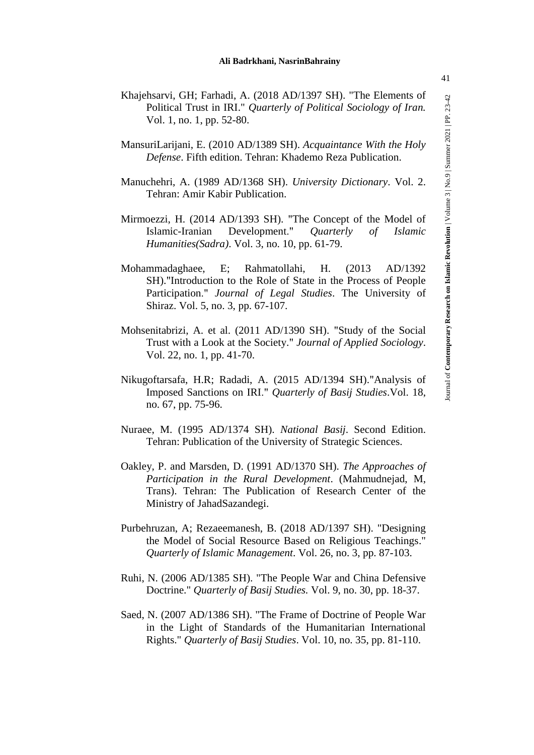- Khajehsarvi, GH; Farhadi, A. (2018 AD/1397 SH). "The Elements of Political Trust in IRI." *Quarterly of Political Sociology of Iran.* Vol. 1, no. 1, pp. 52-80.
- MansuriLarijani, E. (2010 AD/1389 SH). *Acquaintance With the Holy Defense*. Fifth edition. Tehran: Khademo Reza Publication.
- Manuchehri, A. (1989 AD/1368 SH). *University Dictionary*. Vol. 2. Tehran: Amir Kabir Publication.
- Mirmoezzi, H. (2014 AD/1393 SH). "The Concept of the Model of Islamic-Iranian Development." *Quarterly of Islamic Humanities(Sadra)*. Vol. 3, no. 10, pp. 61-79.
- Mohammadaghaee, E; Rahmatollahi, H. (2013 AD/1392 SH)."Introduction to the Role of State in the Process of People Participation." *Journal of Legal Studies*. The University of Shiraz. Vol. 5, no. 3, pp. 67-107.
- Mohsenitabrizi, A. et al. (2011 AD/1390 SH). "Study of the Social Trust with a Look at the Society." *Journal of Applied Sociology*. Vol. 22, no. 1, pp. 41-70.
- Nikugoftarsafa, H.R; Radadi, A. (2015 AD/1394 SH)."Analysis of Imposed Sanctions on IRI." *Quarterly of Basij Studies*.Vol. 18, no. 67, pp. 75-96.
- Nuraee, M. (1995 AD/1374 SH). *National Basij*. Second Edition. Tehran: Publication of the University of Strategic Sciences.
- Oakley, P. and Marsden, D. (1991 AD/1370 SH). *The Approaches of Participation in the Rural Development*. (Mahmudnejad, M, Trans). Tehran: The Publication of Research Center of the Ministry of JahadSazandegi.
- Purbehruzan, A; Rezaeemanesh, B. (2018 AD/1397 SH). "Designing the Model of Social Resource Based on Religious Teachings." *Quarterly of Islamic Management*. Vol. 26, no. 3, pp. 87-103.
- Ruhi, N. (2006 AD/1385 SH). "The People War and China Defensive Doctrine." *Quarterly of Basij Studies.* Vol. 9, no. 30, pp. 18-37.
- Saed, N. (2007 AD/1386 SH). "The Frame of Doctrine of People War in the Light of Standards of the Humanitarian International Rights." *Quarterly of Basij Studies*. Vol. 10, no. 35, pp. 81-110.

Journal of **Contemporary Research on Islamic Revolution** | Volume 3 | No.9 | Summer 2021 | PP. 23-

ournal of Contemporary Research on Islamic Revolution | Volume 3 | No.9 | Summer 2021 | PP. 23-42